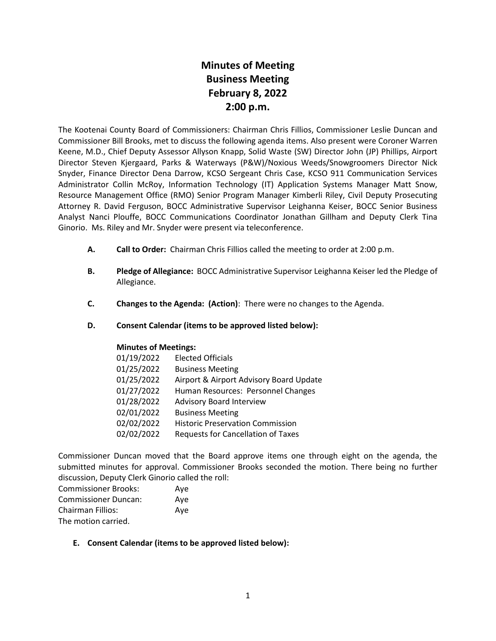# **Minutes of Meeting Business Meeting February 8, 2022 2:00 p.m.**

The Kootenai County Board of Commissioners: Chairman Chris Fillios, Commissioner Leslie Duncan and Commissioner Bill Brooks, met to discuss the following agenda items. Also present were Coroner Warren Keene, M.D., Chief Deputy Assessor Allyson Knapp, Solid Waste (SW) Director John (JP) Phillips, Airport Director Steven Kjergaard, Parks & Waterways (P&W)/Noxious Weeds/Snowgroomers Director Nick Snyder, Finance Director Dena Darrow, KCSO Sergeant Chris Case, KCSO 911 Communication Services Administrator Collin McRoy, Information Technology (IT) Application Systems Manager Matt Snow, Resource Management Office (RMO) Senior Program Manager Kimberli Riley, Civil Deputy Prosecuting Attorney R. David Ferguson, BOCC Administrative Supervisor Leighanna Keiser, BOCC Senior Business Analyst Nanci Plouffe, BOCC Communications Coordinator Jonathan Gillham and Deputy Clerk Tina Ginorio. Ms. Riley and Mr. Snyder were present via teleconference.

- **A. Call to Order:** Chairman Chris Fillios called the meeting to order at 2:00 p.m.
- **B. Pledge of Allegiance:** BOCC Administrative Supervisor Leighanna Keiser led the Pledge of Allegiance.
- **C. Changes to the Agenda: (Action)**: There were no changes to the Agenda.
- **D. Consent Calendar (items to be approved listed below):**

## **Minutes of Meetings:**

| 01/19/2022 | <b>Elected Officials</b>                  |
|------------|-------------------------------------------|
| 01/25/2022 | <b>Business Meeting</b>                   |
| 01/25/2022 | Airport & Airport Advisory Board Update   |
| 01/27/2022 | Human Resources: Personnel Changes        |
| 01/28/2022 | <b>Advisory Board Interview</b>           |
| 02/01/2022 | <b>Business Meeting</b>                   |
| 02/02/2022 | <b>Historic Preservation Commission</b>   |
| 02/02/2022 | <b>Requests for Cancellation of Taxes</b> |
|            |                                           |

Commissioner Duncan moved that the Board approve items one through eight on the agenda, the submitted minutes for approval. Commissioner Brooks seconded the motion. There being no further discussion, Deputy Clerk Ginorio called the roll:

| <b>Commissioner Brooks:</b> | Aye |
|-----------------------------|-----|
| <b>Commissioner Duncan:</b> | Ave |
| <b>Chairman Fillios:</b>    | Ave |
| The motion carried.         |     |

**E. Consent Calendar (items to be approved listed below):**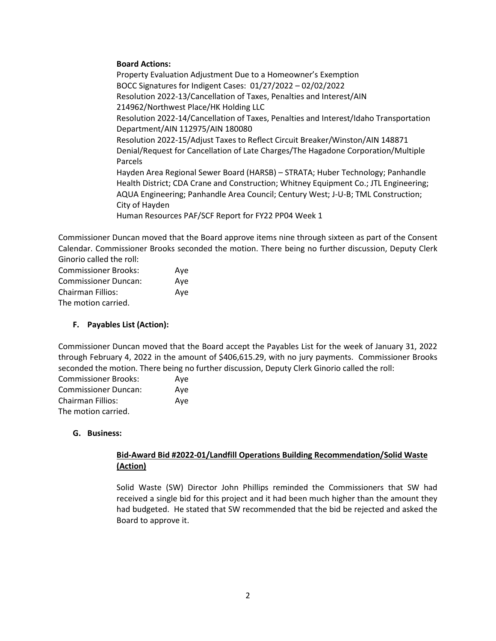## **Board Actions:**

Property Evaluation Adjustment Due to a Homeowner's Exemption BOCC Signatures for Indigent Cases: 01/27/2022 – 02/02/2022 Resolution 2022-13/Cancellation of Taxes, Penalties and Interest/AIN 214962/Northwest Place/HK Holding LLC Resolution 2022-14/Cancellation of Taxes, Penalties and Interest/Idaho Transportation Department/AIN 112975/AIN 180080 Resolution 2022-15/Adjust Taxes to Reflect Circuit Breaker/Winston/AIN 148871 Denial/Request for Cancellation of Late Charges/The Hagadone Corporation/Multiple Parcels Hayden Area Regional Sewer Board (HARSB) – STRATA; Huber Technology; Panhandle Health District; CDA Crane and Construction; Whitney Equipment Co.; JTL Engineering; AQUA Engineering; Panhandle Area Council; Century West; J-U-B; TML Construction; City of Hayden Human Resources PAF/SCF Report for FY22 PP04 Week 1

Commissioner Duncan moved that the Board approve items nine through sixteen as part of the Consent Calendar. Commissioner Brooks seconded the motion. There being no further discussion, Deputy Clerk Ginorio called the roll:

| <b>Commissioner Brooks:</b> | Ave |
|-----------------------------|-----|
| <b>Commissioner Duncan:</b> | Ave |
| Chairman Fillios:           | Ave |
| The motion carried.         |     |

# **F. Payables List (Action):**

Commissioner Duncan moved that the Board accept the Payables List for the week of January 31, 2022 through February 4, 2022 in the amount of \$406,615.29, with no jury payments. Commissioner Brooks seconded the motion. There being no further discussion, Deputy Clerk Ginorio called the roll:

| <b>Commissioner Brooks:</b> | Aye |
|-----------------------------|-----|
| <b>Commissioner Duncan:</b> | Aye |
| Chairman Fillios:           | Aye |
| The motion carried.         |     |

# **G. Business:**

# **Bid-Award Bid #2022-01/Landfill Operations Building Recommendation/Solid Waste (Action)**

Solid Waste (SW) Director John Phillips reminded the Commissioners that SW had received a single bid for this project and it had been much higher than the amount they had budgeted. He stated that SW recommended that the bid be rejected and asked the Board to approve it.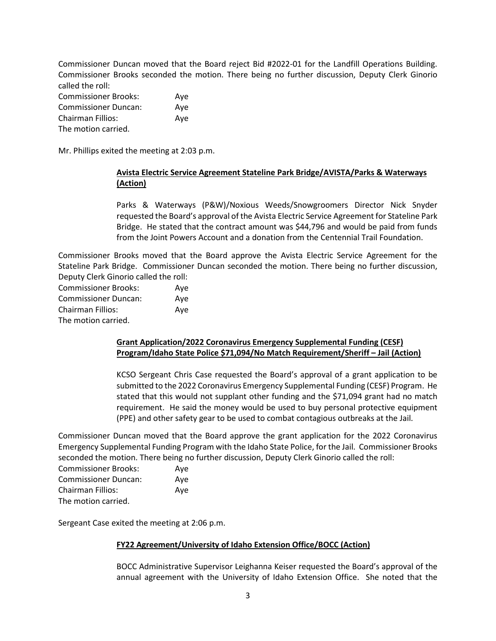Commissioner Duncan moved that the Board reject Bid #2022-01 for the Landfill Operations Building. Commissioner Brooks seconded the motion. There being no further discussion, Deputy Clerk Ginorio called the roll:

| <b>Commissioner Brooks:</b> | Aye |
|-----------------------------|-----|
| <b>Commissioner Duncan:</b> | Ave |
| Chairman Fillios:           | Ave |
| The motion carried.         |     |

Mr. Phillips exited the meeting at 2:03 p.m.

# **Avista Electric Service Agreement Stateline Park Bridge/AVISTA/Parks & Waterways (Action)**

Parks & Waterways (P&W)/Noxious Weeds/Snowgroomers Director Nick Snyder requested the Board's approval of the Avista Electric Service Agreement for Stateline Park Bridge. He stated that the contract amount was \$44,796 and would be paid from funds from the Joint Powers Account and a donation from the Centennial Trail Foundation.

Commissioner Brooks moved that the Board approve the Avista Electric Service Agreement for the Stateline Park Bridge. Commissioner Duncan seconded the motion. There being no further discussion, Deputy Clerk Ginorio called the roll:

| <b>Commissioner Brooks:</b> | Aye |
|-----------------------------|-----|
| <b>Commissioner Duncan:</b> | Aye |
| <b>Chairman Fillios:</b>    | Aye |
| The motion carried.         |     |

## **Grant Application/2022 Coronavirus Emergency Supplemental Funding (CESF) Program/Idaho State Police \$71,094/No Match Requirement/Sheriff – Jail (Action)**

KCSO Sergeant Chris Case requested the Board's approval of a grant application to be submitted to the 2022 Coronavirus Emergency Supplemental Funding (CESF) Program. He stated that this would not supplant other funding and the \$71,094 grant had no match requirement. He said the money would be used to buy personal protective equipment (PPE) and other safety gear to be used to combat contagious outbreaks at the Jail.

Commissioner Duncan moved that the Board approve the grant application for the 2022 Coronavirus Emergency Supplemental Funding Program with the Idaho State Police, for the Jail. Commissioner Brooks seconded the motion. There being no further discussion, Deputy Clerk Ginorio called the roll:

| <b>Commissioner Brooks:</b> | Aye |
|-----------------------------|-----|
| <b>Commissioner Duncan:</b> | Aye |
| Chairman Fillios:           | Aye |
| The motion carried.         |     |

Sergeant Case exited the meeting at 2:06 p.m.

## **FY22 Agreement/University of Idaho Extension Office/BOCC (Action)**

BOCC Administrative Supervisor Leighanna Keiser requested the Board's approval of the annual agreement with the University of Idaho Extension Office. She noted that the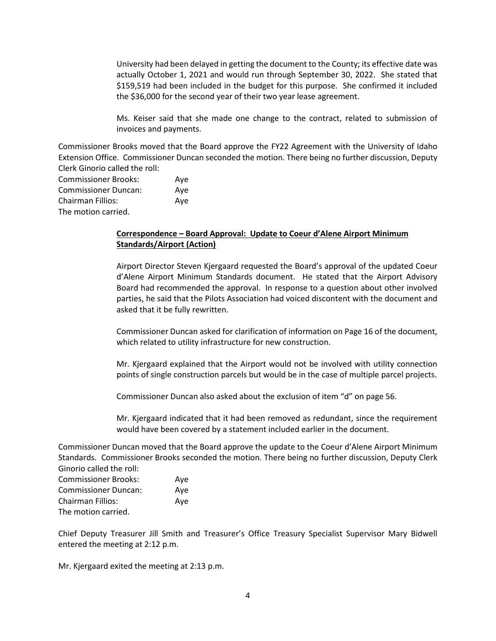University had been delayed in getting the document to the County; its effective date was actually October 1, 2021 and would run through September 30, 2022. She stated that \$159,519 had been included in the budget for this purpose. She confirmed it included the \$36,000 for the second year of their two year lease agreement.

Ms. Keiser said that she made one change to the contract, related to submission of invoices and payments.

Commissioner Brooks moved that the Board approve the FY22 Agreement with the University of Idaho Extension Office. Commissioner Duncan seconded the motion. There being no further discussion, Deputy Clerk Ginorio called the roll:

| <b>Commissioner Brooks:</b> | Aye |
|-----------------------------|-----|
| <b>Commissioner Duncan:</b> | Aye |
| Chairman Fillios:           | Aye |
| The motion carried.         |     |

# **Correspondence – Board Approval: Update to Coeur d'Alene Airport Minimum Standards/Airport (Action)**

Airport Director Steven Kjergaard requested the Board's approval of the updated Coeur d'Alene Airport Minimum Standards document. He stated that the Airport Advisory Board had recommended the approval. In response to a question about other involved parties, he said that the Pilots Association had voiced discontent with the document and asked that it be fully rewritten.

Commissioner Duncan asked for clarification of information on Page 16 of the document, which related to utility infrastructure for new construction.

Mr. Kjergaard explained that the Airport would not be involved with utility connection points of single construction parcels but would be in the case of multiple parcel projects.

Commissioner Duncan also asked about the exclusion of item "d" on page 56.

Mr. Kjergaard indicated that it had been removed as redundant, since the requirement would have been covered by a statement included earlier in the document.

Commissioner Duncan moved that the Board approve the update to the Coeur d'Alene Airport Minimum Standards. Commissioner Brooks seconded the motion. There being no further discussion, Deputy Clerk Ginorio called the roll:

| <b>Commissioner Brooks:</b> | Aye |
|-----------------------------|-----|
| <b>Commissioner Duncan:</b> | Ave |
| <b>Chairman Fillios:</b>    | Ave |
| The motion carried.         |     |

Chief Deputy Treasurer Jill Smith and Treasurer's Office Treasury Specialist Supervisor Mary Bidwell entered the meeting at 2:12 p.m.

Mr. Kjergaard exited the meeting at 2:13 p.m.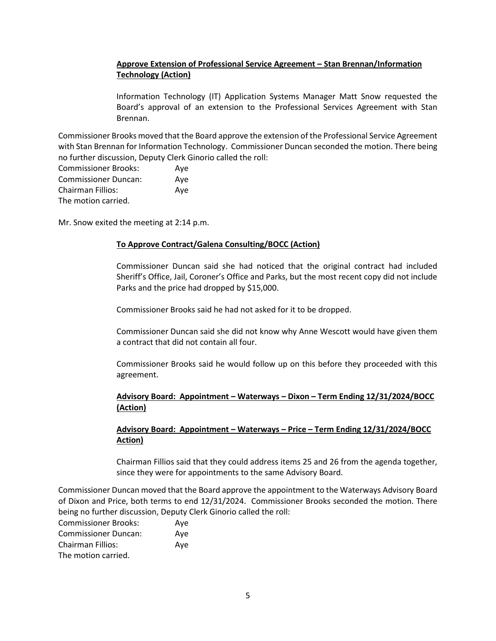# **Approve Extension of Professional Service Agreement – Stan Brennan/Information Technology (Action)**

Information Technology (IT) Application Systems Manager Matt Snow requested the Board's approval of an extension to the Professional Services Agreement with Stan Brennan.

Commissioner Brooks moved that the Board approve the extension of the Professional Service Agreement with Stan Brennan for Information Technology. Commissioner Duncan seconded the motion. There being no further discussion, Deputy Clerk Ginorio called the roll:

| <b>Commissioner Brooks:</b> | Ave |
|-----------------------------|-----|
| <b>Commissioner Duncan:</b> | Ave |
| <b>Chairman Fillios:</b>    | Ave |
| The motion carried.         |     |

Mr. Snow exited the meeting at 2:14 p.m.

#### **To Approve Contract/Galena Consulting/BOCC (Action)**

Commissioner Duncan said she had noticed that the original contract had included Sheriff's Office, Jail, Coroner's Office and Parks, but the most recent copy did not include Parks and the price had dropped by \$15,000.

Commissioner Brooks said he had not asked for it to be dropped.

Commissioner Duncan said she did not know why Anne Wescott would have given them a contract that did not contain all four.

Commissioner Brooks said he would follow up on this before they proceeded with this agreement.

# **Advisory Board: Appointment – Waterways – Dixon – Term Ending 12/31/2024/BOCC (Action)**

# **Advisory Board: Appointment – Waterways – Price – Term Ending 12/31/2024/BOCC Action)**

Chairman Fillios said that they could address items 25 and 26 from the agenda together, since they were for appointments to the same Advisory Board.

Commissioner Duncan moved that the Board approve the appointment to the Waterways Advisory Board of Dixon and Price, both terms to end 12/31/2024. Commissioner Brooks seconded the motion. There being no further discussion, Deputy Clerk Ginorio called the roll:

| <b>Commissioner Brooks:</b> | Ave |
|-----------------------------|-----|
| <b>Commissioner Duncan:</b> | Ave |
| <b>Chairman Fillios:</b>    | Ave |
| The motion carried.         |     |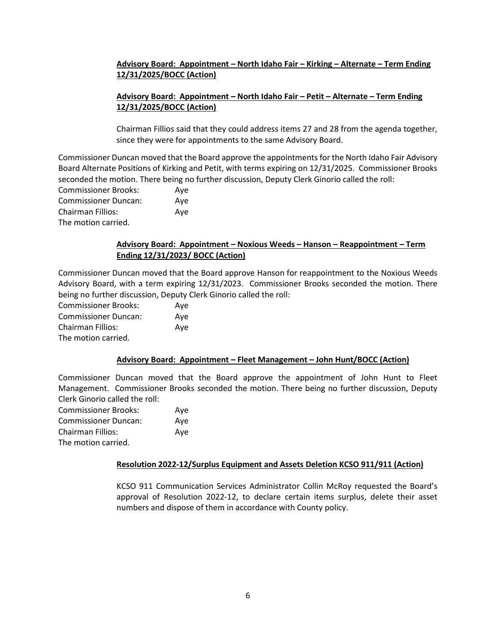# **Advisory Board: Appointment – North Idaho Fair – Kirking – Alternate – Term Ending 12/31/2025/BOCC (Action)**

# **Advisory Board: Appointment – North Idaho Fair – Petit – Alternate – Term Ending 12/31/2025/BOCC (Action)**

Chairman Fillios said that they could address items 27 and 28 from the agenda together, since they were for appointments to the same Advisory Board.

Commissioner Duncan moved that the Board approve the appointments for the North Idaho Fair Advisory Board Alternate Positions of Kirking and Petit, with terms expiring on 12/31/2025. Commissioner Brooks seconded the motion. There being no further discussion, Deputy Clerk Ginorio called the roll:

| <b>Commissioner Brooks:</b> | Ave |
|-----------------------------|-----|
| <b>Commissioner Duncan:</b> | Ave |
| <b>Chairman Fillios:</b>    | Ave |
| The motion carried.         |     |

# **Advisory Board: Appointment – Noxious Weeds – Hanson – Reappointment – Term Ending 12/31/2023/ BOCC (Action)**

Commissioner Duncan moved that the Board approve Hanson for reappointment to the Noxious Weeds Advisory Board, with a term expiring 12/31/2023. Commissioner Brooks seconded the motion. There being no further discussion, Deputy Clerk Ginorio called the roll:

Commissioner Brooks: Aye Commissioner Duncan: Aye Chairman Fillios: Aye The motion carried.

## **Advisory Board: Appointment – Fleet Management – John Hunt/BOCC (Action)**

Commissioner Duncan moved that the Board approve the appointment of John Hunt to Fleet Management. Commissioner Brooks seconded the motion. There being no further discussion, Deputy Clerk Ginorio called the roll:

| <b>Commissioner Brooks:</b> | Aye |
|-----------------------------|-----|
| <b>Commissioner Duncan:</b> | Ave |
| Chairman Fillios:           | Ave |
| The motion carried.         |     |

## **Resolution 2022-12/Surplus Equipment and Assets Deletion KCSO 911/911 (Action)**

KCSO 911 Communication Services Administrator Collin McRoy requested the Board's approval of Resolution 2022-12, to declare certain items surplus, delete their asset numbers and dispose of them in accordance with County policy.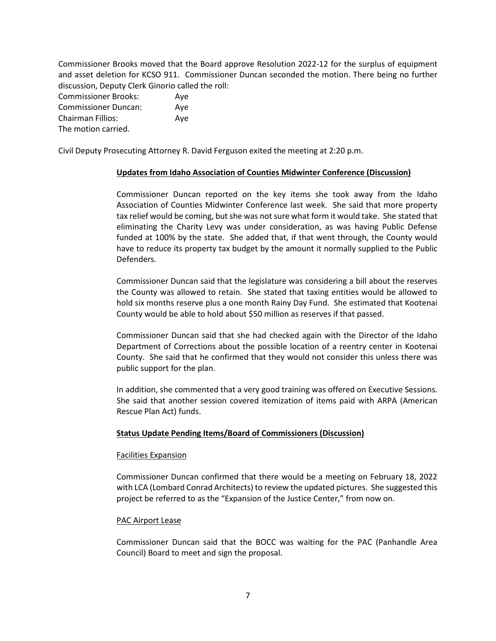Commissioner Brooks moved that the Board approve Resolution 2022-12 for the surplus of equipment and asset deletion for KCSO 911. Commissioner Duncan seconded the motion. There being no further discussion, Deputy Clerk Ginorio called the roll:

| <b>Commissioner Brooks:</b> | Ave |
|-----------------------------|-----|
| <b>Commissioner Duncan:</b> | Ave |
| <b>Chairman Fillios:</b>    | Ave |
| The motion carried.         |     |

Civil Deputy Prosecuting Attorney R. David Ferguson exited the meeting at 2:20 p.m.

## **Updates from Idaho Association of Counties Midwinter Conference (Discussion)**

Commissioner Duncan reported on the key items she took away from the Idaho Association of Counties Midwinter Conference last week. She said that more property tax relief would be coming, but she was not sure what form it would take. She stated that eliminating the Charity Levy was under consideration, as was having Public Defense funded at 100% by the state. She added that, if that went through, the County would have to reduce its property tax budget by the amount it normally supplied to the Public Defenders.

Commissioner Duncan said that the legislature was considering a bill about the reserves the County was allowed to retain. She stated that taxing entities would be allowed to hold six months reserve plus a one month Rainy Day Fund. She estimated that Kootenai County would be able to hold about \$50 million as reserves if that passed.

Commissioner Duncan said that she had checked again with the Director of the Idaho Department of Corrections about the possible location of a reentry center in Kootenai County. She said that he confirmed that they would not consider this unless there was public support for the plan.

In addition, she commented that a very good training was offered on Executive Sessions. She said that another session covered itemization of items paid with ARPA (American Rescue Plan Act) funds.

## **Status Update Pending Items/Board of Commissioners (Discussion)**

#### Facilities Expansion

Commissioner Duncan confirmed that there would be a meeting on February 18, 2022 with LCA (Lombard Conrad Architects) to review the updated pictures. She suggested this project be referred to as the "Expansion of the Justice Center," from now on.

## PAC Airport Lease

Commissioner Duncan said that the BOCC was waiting for the PAC (Panhandle Area Council) Board to meet and sign the proposal.